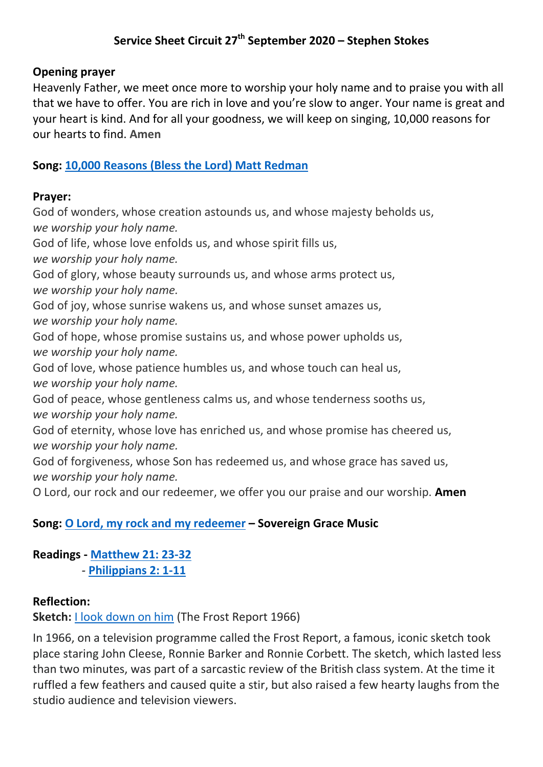# **Service Sheet Circuit 27th September 2020 – Stephen Stokes**

#### **Opening prayer**

Heavenly Father, we meet once more to worship your holy name and to praise you with all that we have to offer. You are rich in love and you're slow to anger. Your name is great and your heart is kind. And for all your goodness, we will keep on singing, 10,000 reasons for our hearts to find. **Amen**

### **Song: [10,000 Reasons \(Bless the Lord\) Matt Redman](https://www.youtube.com/watch?v=DXDGE_lRI0E)**

#### **Prayer:**

God of wonders, whose creation astounds us, and whose majesty beholds us, *we worship your holy name.* God of life, whose love enfolds us, and whose spirit fills us, *we worship your holy name.* God of glory, whose beauty surrounds us, and whose arms protect us, *we worship your holy name.* God of joy, whose sunrise wakens us, and whose sunset amazes us, *we worship your holy name.* God of hope, whose promise sustains us, and whose power upholds us, *we worship your holy name.* God of love, whose patience humbles us, and whose touch can heal us, *we worship your holy name.* God of peace, whose gentleness calms us, and whose tenderness sooths us, *we worship your holy name.* God of eternity, whose love has enriched us, and whose promise has cheered us, *we worship your holy name.* God of forgiveness, whose Son has redeemed us, and whose grace has saved us, *we worship your holy name.* 

O Lord, our rock and our redeemer, we offer you our praise and our worship. **Amen**

### **Song: [O Lord, my rock and my redeemer](https://www.youtube.com/watch?v=TpELMk4-3n8) – Sovereign Grace Music**

### **Readings - [Matthew 21: 23-32](https://www.biblegateway.com/passage/?search=Matthew%2021:23-32&version=NIV)**  *-* **[Philippians 2: 1-11](https://www.biblegateway.com/passage/?search=Philippians+2%3A+1-11++&version=NIV)**

### **Reflection:**

**Sketch:** [I look down on him](https://www.youtube.com/watch?v=ppv97S3ih14) (The Frost Report 1966)

In 1966, on a television programme called the Frost Report, a famous, iconic sketch took place staring John Cleese, Ronnie Barker and Ronnie Corbett. The sketch, which lasted less than two minutes, was part of a sarcastic review of the British class system. At the time it ruffled a few feathers and caused quite a stir, but also raised a few hearty laughs from the studio audience and television viewers.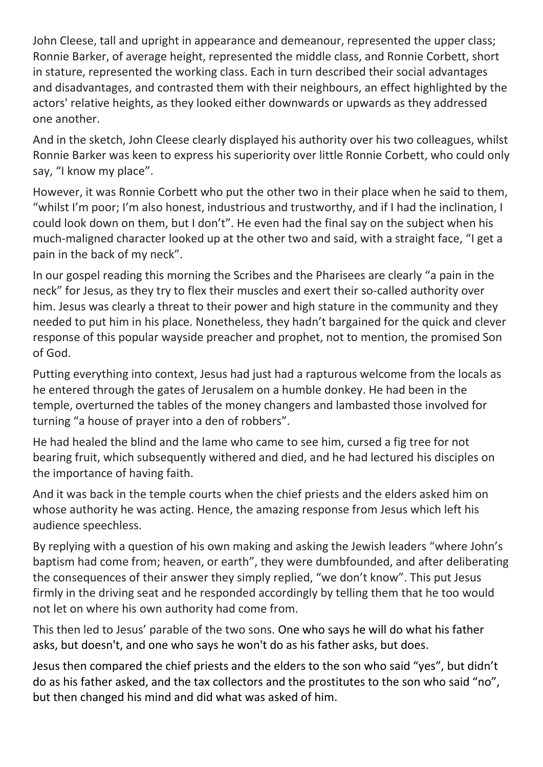John Cleese, tall and upright in appearance and demeanour, represented the upper class; Ronnie Barker, of average height, represented the middle class, and Ronnie Corbett, short in stature, represented the working class. Each in turn described their social advantages and disadvantages, and contrasted them with their neighbours, an effect highlighted by the actors' relative heights, as they looked either downwards or upwards as they addressed one another.

And in the sketch, John Cleese clearly displayed his authority over his two colleagues, whilst Ronnie Barker was keen to express his superiority over little Ronnie Corbett, who could only say, "I know my place".

However, it was Ronnie Corbett who put the other two in their place when he said to them, "whilst I'm poor; I'm also honest, industrious and trustworthy, and if I had the inclination, I could look down on them, but I don't". He even had the final say on the subject when his much-maligned character looked up at the other two and said, with a straight face, "I get a pain in the back of my neck".

In our gospel reading this morning the Scribes and the Pharisees are clearly "a pain in the neck" for Jesus, as they try to flex their muscles and exert their so-called authority over him. Jesus was clearly a threat to their power and high stature in the community and they needed to put him in his place. Nonetheless, they hadn't bargained for the quick and clever response of this popular wayside preacher and prophet, not to mention, the promised Son of God.

Putting everything into context, Jesus had just had a rapturous welcome from the locals as he entered through the gates of Jerusalem on a humble donkey. He had been in the temple, overturned the tables of the money changers and lambasted those involved for turning "a house of prayer into a den of robbers".

He had healed the blind and the lame who came to see him, cursed a fig tree for not bearing fruit, which subsequently withered and died, and he had lectured his disciples on the importance of having faith.

And it was back in the temple courts when the chief priests and the elders asked him on whose authority he was acting. Hence, the amazing response from Jesus which left his audience speechless.

By replying with a question of his own making and asking the Jewish leaders "where John's baptism had come from; heaven, or earth", they were dumbfounded, and after deliberating the consequences of their answer they simply replied, "we don't know". This put Jesus firmly in the driving seat and he responded accordingly by telling them that he too would not let on where his own authority had come from.

This then led to Jesus' parable of the two sons. One who says he will do what his father asks, but doesn't, and one who says he won't do as his father asks, but does.

Jesus then compared the chief priests and the elders to the son who said "yes", but didn't do as his father asked, and the tax collectors and the prostitutes to the son who said "no", but then changed his mind and did what was asked of him.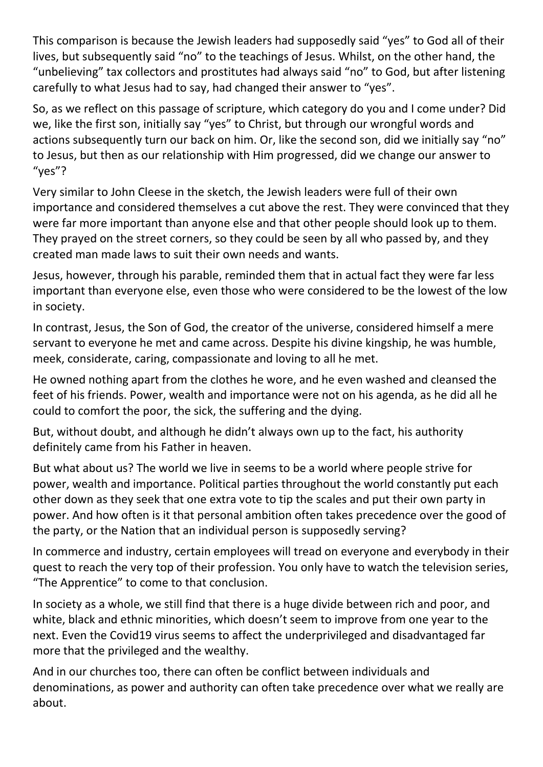This comparison is because the Jewish leaders had supposedly said "yes" to God all of their lives, but subsequently said "no" to the teachings of Jesus. Whilst, on the other hand, the "unbelieving" tax collectors and prostitutes had always said "no" to God, but after listening carefully to what Jesus had to say, had changed their answer to "yes".

So, as we reflect on this passage of scripture, which category do you and I come under? Did we, like the first son, initially say "yes" to Christ, but through our wrongful words and actions subsequently turn our back on him. Or, like the second son, did we initially say "no" to Jesus, but then as our relationship with Him progressed, did we change our answer to "yes"?

Very similar to John Cleese in the sketch, the Jewish leaders were full of their own importance and considered themselves a cut above the rest. They were convinced that they were far more important than anyone else and that other people should look up to them. They prayed on the street corners, so they could be seen by all who passed by, and they created man made laws to suit their own needs and wants.

Jesus, however, through his parable, reminded them that in actual fact they were far less important than everyone else, even those who were considered to be the lowest of the low in society.

In contrast, Jesus, the Son of God, the creator of the universe, considered himself a mere servant to everyone he met and came across. Despite his divine kingship, he was humble, meek, considerate, caring, compassionate and loving to all he met.

He owned nothing apart from the clothes he wore, and he even washed and cleansed the feet of his friends. Power, wealth and importance were not on his agenda, as he did all he could to comfort the poor, the sick, the suffering and the dying.

But, without doubt, and although he didn't always own up to the fact, his authority definitely came from his Father in heaven.

But what about us? The world we live in seems to be a world where people strive for power, wealth and importance. Political parties throughout the world constantly put each other down as they seek that one extra vote to tip the scales and put their own party in power. And how often is it that personal ambition often takes precedence over the good of the party, or the Nation that an individual person is supposedly serving?

In commerce and industry, certain employees will tread on everyone and everybody in their quest to reach the very top of their profession. You only have to watch the television series, "The Apprentice" to come to that conclusion.

In society as a whole, we still find that there is a huge divide between rich and poor, and white, black and ethnic minorities, which doesn't seem to improve from one year to the next. Even the Covid19 virus seems to affect the underprivileged and disadvantaged far more that the privileged and the wealthy.

And in our churches too, there can often be conflict between individuals and denominations, as power and authority can often take precedence over what we really are about.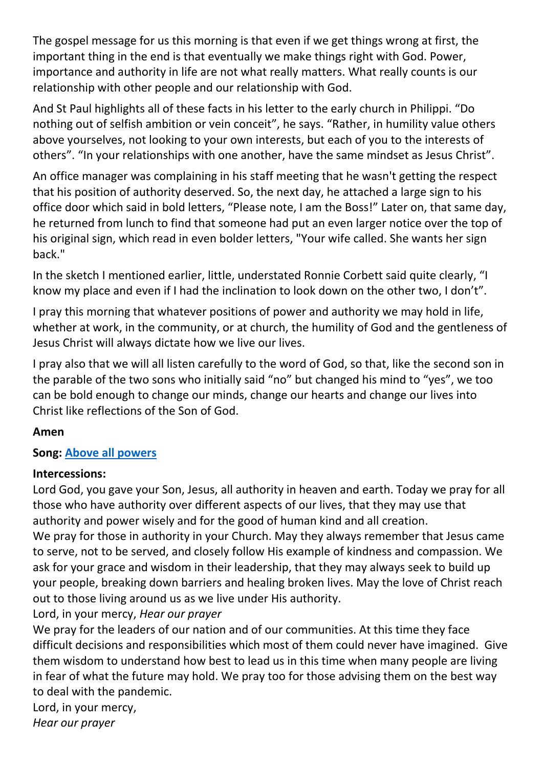The gospel message for us this morning is that even if we get things wrong at first, the important thing in the end is that eventually we make things right with God. Power, importance and authority in life are not what really matters. What really counts is our relationship with other people and our relationship with God.

And St Paul highlights all of these facts in his letter to the early church in Philippi. "Do nothing out of selfish ambition or vein conceit", he says. "Rather, in humility value others above yourselves, not looking to your own interests, but each of you to the interests of others". "In your relationships with one another, have the same mindset as Jesus Christ".

An office manager was complaining in his staff meeting that he wasn't getting the respect that his position of authority deserved. So, the next day, he attached a large sign to his office door which said in bold letters, "Please note, I am the Boss!" Later on, that same day, he returned from lunch to find that someone had put an even larger notice over the top of his original sign, which read in even bolder letters, "Your wife called. She wants her sign back."

In the sketch I mentioned earlier, little, understated Ronnie Corbett said quite clearly, "I know my place and even if I had the inclination to look down on the other two, I don't".

I pray this morning that whatever positions of power and authority we may hold in life, whether at work, in the community, or at church, the humility of God and the gentleness of Jesus Christ will always dictate how we live our lives.

I pray also that we will all listen carefully to the word of God, so that, like the second son in the parable of the two sons who initially said "no" but changed his mind to "yes", we too can be bold enough to change our minds, change our hearts and change our lives into Christ like reflections of the Son of God.

# **Amen**

# **Song: [Above all powers](https://www.youtube.com/watch?v=yg9zjVUz9Kw)**

### **Intercessions:**

Lord God, you gave your Son, Jesus, all authority in heaven and earth. Today we pray for all those who have authority over different aspects of our lives, that they may use that authority and power wisely and for the good of human kind and all creation.

We pray for those in authority in your Church. May they always remember that Jesus came to serve, not to be served, and closely follow His example of kindness and compassion. We ask for your grace and wisdom in their leadership, that they may always seek to build up your people, breaking down barriers and healing broken lives. May the love of Christ reach out to those living around us as we live under His authority.

Lord, in your mercy, *Hear our prayer*

We pray for the leaders of our nation and of our communities. At this time they face difficult decisions and responsibilities which most of them could never have imagined. Give them wisdom to understand how best to lead us in this time when many people are living in fear of what the future may hold. We pray too for those advising them on the best way to deal with the pandemic.

Lord, in your mercy, *Hear our prayer*